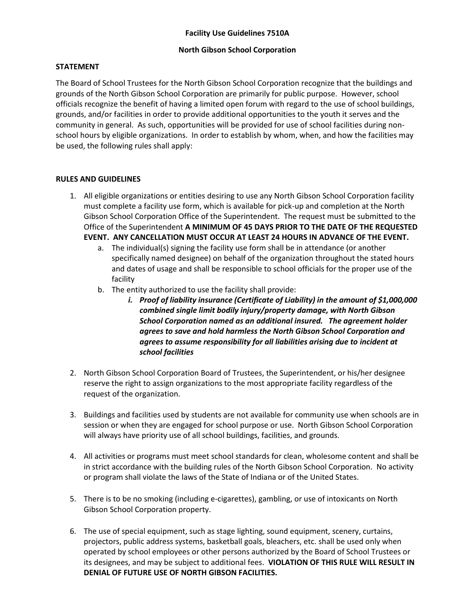## **North Gibson School Corporation**

## **STATEMENT**

The Board of School Trustees for the North Gibson School Corporation recognize that the buildings and grounds of the North Gibson School Corporation are primarily for public purpose. However, school officials recognize the benefit of having a limited open forum with regard to the use of school buildings, grounds, and/or facilities in order to provide additional opportunities to the youth it serves and the community in general. As such, opportunities will be provided for use of school facilities during nonschool hours by eligible organizations. In order to establish by whom, when, and how the facilities may be used, the following rules shall apply:

## **RULES AND GUIDELINES**

- 1. All eligible organizations or entities desiring to use any North Gibson School Corporation facility must complete a facility use form, which is available for pick-up and completion at the North Gibson School Corporation Office of the Superintendent. The request must be submitted to the Office of the Superintendent **A MINIMUM OF 45 DAYS PRIOR TO THE DATE OF THE REQUESTED EVENT. ANY CANCELLATION MUST OCCUR AT LEAST 24 HOURS IN ADVANCE OF THE EVENT.**
	- a. The individual(s) signing the facility use form shall be in attendance (or another specifically named designee) on behalf of the organization throughout the stated hours and dates of usage and shall be responsible to school officials for the proper use of the facility
	- b. The entity authorized to use the facility shall provide:
		- *i. Proof of liability insurance (Certificate of Liability) in the amount of \$1,000,000 combined single limit bodily injury/property damage, with North Gibson School Corporation named as an additional insured. The agreement holder agrees to save and hold harmless the North Gibson School Corporation and agrees to assume responsibility for all liabilities arising due to incident at school facilities*
- 2. North Gibson School Corporation Board of Trustees, the Superintendent, or his/her designee reserve the right to assign organizations to the most appropriate facility regardless of the request of the organization.
- 3. Buildings and facilities used by students are not available for community use when schools are in session or when they are engaged for school purpose or use. North Gibson School Corporation will always have priority use of all school buildings, facilities, and grounds.
- 4. All activities or programs must meet school standards for clean, wholesome content and shall be in strict accordance with the building rules of the North Gibson School Corporation. No activity or program shall violate the laws of the State of Indiana or of the United States.
- 5. There is to be no smoking (including e-cigarettes), gambling, or use of intoxicants on North Gibson School Corporation property.
- 6. The use of special equipment, such as stage lighting, sound equipment, scenery, curtains, projectors, public address systems, basketball goals, bleachers, etc. shall be used only when operated by school employees or other persons authorized by the Board of School Trustees or its designees, and may be subject to additional fees. **VIOLATION OF THIS RULE WILL RESULT IN DENIAL OF FUTURE USE OF NORTH GIBSON FACILITIES.**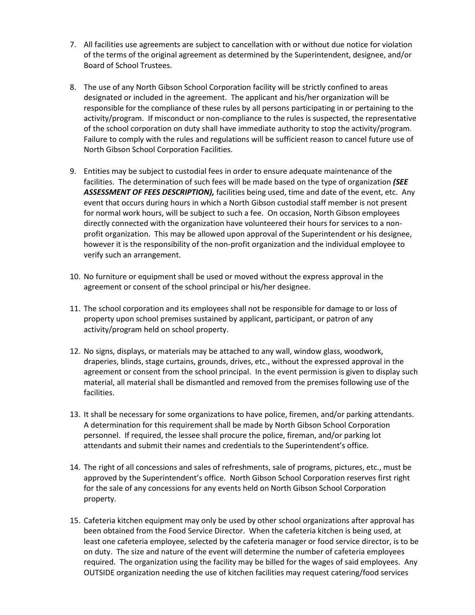- 7. All facilities use agreements are subject to cancellation with or without due notice for violation of the terms of the original agreement as determined by the Superintendent, designee, and/or Board of School Trustees.
- 8. The use of any North Gibson School Corporation facility will be strictly confined to areas designated or included in the agreement. The applicant and his/her organization will be responsible for the compliance of these rules by all persons participating in or pertaining to the activity/program. If misconduct or non-compliance to the rules is suspected, the representative of the school corporation on duty shall have immediate authority to stop the activity/program. Failure to comply with the rules and regulations will be sufficient reason to cancel future use of North Gibson School Corporation Facilities.
- 9. Entities may be subject to custodial fees in order to ensure adequate maintenance of the facilities. The determination of such fees will be made based on the type of organization *(SEE ASSESSMENT OF FEES DESCRIPTION),* facilities being used, time and date of the event, etc. Any event that occurs during hours in which a North Gibson custodial staff member is not present for normal work hours, will be subject to such a fee. On occasion, North Gibson employees directly connected with the organization have volunteered their hours for services to a nonprofit organization. This may be allowed upon approval of the Superintendent or his designee, however it is the responsibility of the non-profit organization and the individual employee to verify such an arrangement.
- 10. No furniture or equipment shall be used or moved without the express approval in the agreement or consent of the school principal or his/her designee.
- 11. The school corporation and its employees shall not be responsible for damage to or loss of property upon school premises sustained by applicant, participant, or patron of any activity/program held on school property.
- 12. No signs, displays, or materials may be attached to any wall, window glass, woodwork, draperies, blinds, stage curtains, grounds, drives, etc., without the expressed approval in the agreement or consent from the school principal. In the event permission is given to display such material, all material shall be dismantled and removed from the premises following use of the facilities.
- 13. It shall be necessary for some organizations to have police, firemen, and/or parking attendants. A determination for this requirement shall be made by North Gibson School Corporation personnel. If required, the lessee shall procure the police, fireman, and/or parking lot attendants and submit their names and credentials to the Superintendent's office.
- 14. The right of all concessions and sales of refreshments, sale of programs, pictures, etc., must be approved by the Superintendent's office. North Gibson School Corporation reserves first right for the sale of any concessions for any events held on North Gibson School Corporation property.
- 15. Cafeteria kitchen equipment may only be used by other school organizations after approval has been obtained from the Food Service Director. When the cafeteria kitchen is being used, at least one cafeteria employee, selected by the cafeteria manager or food service director, is to be on duty. The size and nature of the event will determine the number of cafeteria employees required. The organization using the facility may be billed for the wages of said employees. Any OUTSIDE organization needing the use of kitchen facilities may request catering/food services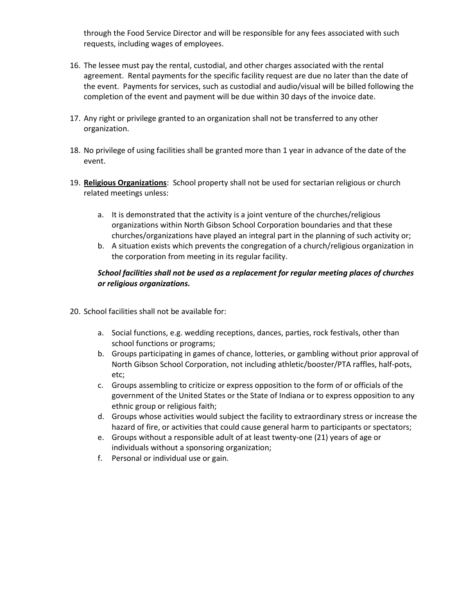through the Food Service Director and will be responsible for any fees associated with such requests, including wages of employees.

- 16. The lessee must pay the rental, custodial, and other charges associated with the rental agreement. Rental payments for the specific facility request are due no later than the date of the event. Payments for services, such as custodial and audio/visual will be billed following the completion of the event and payment will be due within 30 days of the invoice date.
- 17. Any right or privilege granted to an organization shall not be transferred to any other organization.
- 18. No privilege of using facilities shall be granted more than 1 year in advance of the date of the event.
- 19. **Religious Organizations**: School property shall not be used for sectarian religious or church related meetings unless:
	- a. It is demonstrated that the activity is a joint venture of the churches/religious organizations within North Gibson School Corporation boundaries and that these churches/organizations have played an integral part in the planning of such activity or;
	- b. A situation exists which prevents the congregation of a church/religious organization in the corporation from meeting in its regular facility.

## *School facilities shall not be used as a replacement for regular meeting places of churches or religious organizations.*

- 20. School facilities shall not be available for:
	- a. Social functions, e.g. wedding receptions, dances, parties, rock festivals, other than school functions or programs;
	- b. Groups participating in games of chance, lotteries, or gambling without prior approval of North Gibson School Corporation, not including athletic/booster/PTA raffles, half-pots, etc;
	- c. Groups assembling to criticize or express opposition to the form of or officials of the government of the United States or the State of Indiana or to express opposition to any ethnic group or religious faith;
	- d. Groups whose activities would subject the facility to extraordinary stress or increase the hazard of fire, or activities that could cause general harm to participants or spectators;
	- e. Groups without a responsible adult of at least twenty-one (21) years of age or individuals without a sponsoring organization;
	- f. Personal or individual use or gain.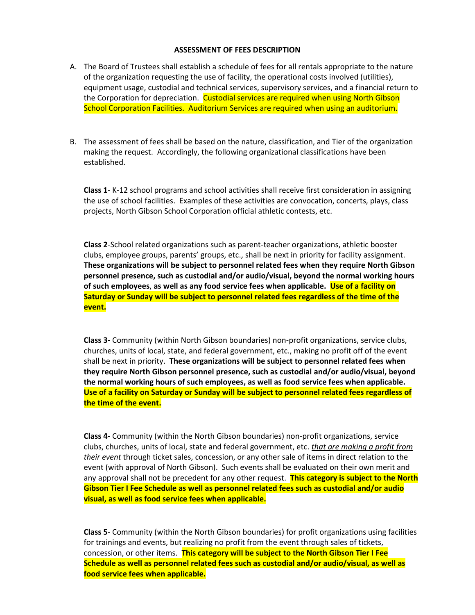#### **ASSESSMENT OF FEES DESCRIPTION**

- A. The Board of Trustees shall establish a schedule of fees for all rentals appropriate to the nature of the organization requesting the use of facility, the operational costs involved (utilities), equipment usage, custodial and technical services, supervisory services, and a financial return to the Corporation for depreciation. Custodial services are required when using North Gibson School Corporation Facilities. Auditorium Services are required when using an auditorium.
- B. The assessment of fees shall be based on the nature, classification, and Tier of the organization making the request. Accordingly, the following organizational classifications have been established.

**Class 1**- K-12 school programs and school activities shall receive first consideration in assigning the use of school facilities. Examples of these activities are convocation, concerts, plays, class projects, North Gibson School Corporation official athletic contests, etc.

**Class 2**-School related organizations such as parent-teacher organizations, athletic booster clubs, employee groups, parents' groups, etc., shall be next in priority for facility assignment. **These organizations will be subject to personnel related fees when they require North Gibson personnel presence, such as custodial and/or audio/visual, beyond the normal working hours of such employees**, **as well as any food service fees when applicable. Use of a facility on Saturday or Sunday will be subject to personnel related fees regardless of the time of the event.**

**Class 3-** Community (within North Gibson boundaries) non-profit organizations, service clubs, churches, units of local, state, and federal government, etc., making no profit off of the event shall be next in priority. **These organizations will be subject to personnel related fees when they require North Gibson personnel presence, such as custodial and/or audio/visual, beyond the normal working hours of such employees, as well as food service fees when applicable. Use of a facility on Saturday or Sunday will be subject to personnel related fees regardless of the time of the event.**

**Class 4-** Community (within the North Gibson boundaries) non-profit organizations, service clubs, churches, units of local, state and federal government, etc. *that are making a profit from their event* through ticket sales, concession, or any other sale of items in direct relation to the event (with approval of North Gibson). Such events shall be evaluated on their own merit and any approval shall not be precedent for any other request. **This category is subject to the North Gibson Tier I Fee Schedule as well as personnel related fees such as custodial and/or audio visual, as well as food service fees when applicable.**

**Class 5**- Community (within the North Gibson boundaries) for profit organizations using facilities for trainings and events, but realizing no profit from the event through sales of tickets, concession, or other items. **This category will be subject to the North Gibson Tier I Fee Schedule as well as personnel related fees such as custodial and/or audio/visual, as well as food service fees when applicable.**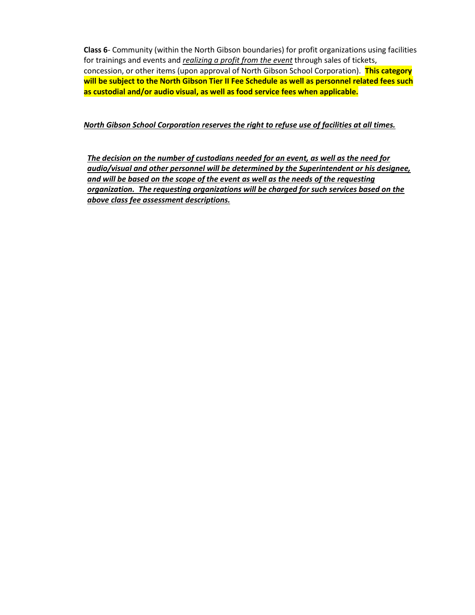**Class 6**- Community (within the North Gibson boundaries) for profit organizations using facilities for trainings and events and *realizing a profit from the event* through sales of tickets, concession, or other items (upon approval of North Gibson School Corporation). **This category will be subject to the North Gibson Tier II Fee Schedule as well as personnel related fees such as custodial and/or audio visual, as well as food service fees when applicable.**

#### *North Gibson School Corporation reserves the right to refuse use of facilities at all times.*

*The decision on the number of custodians needed for an event, as well as the need for audio/visual and other personnel will be determined by the Superintendent or his designee, and will be based on the scope of the event as well as the needs of the requesting organization. The requesting organizations will be charged for such services based on the above class fee assessment descriptions.*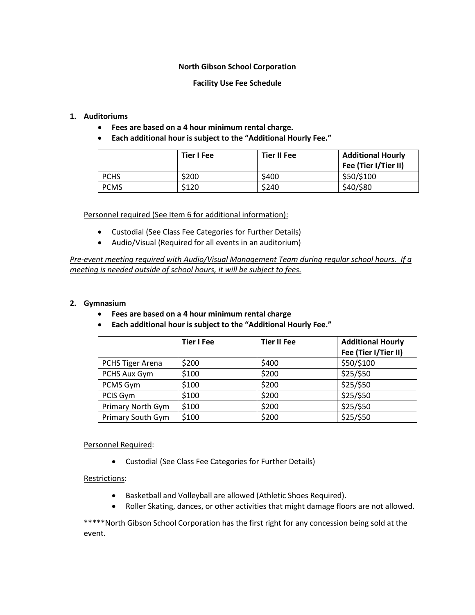## **North Gibson School Corporation**

#### **Facility Use Fee Schedule**

#### **1. Auditoriums**

- **Fees are based on a 4 hour minimum rental charge.**
- **Each additional hour is subject to the "Additional Hourly Fee."**

|             | Tier I Fee | <b>Tier II Fee</b> | <b>Additional Hourly</b><br>Fee (Tier I/Tier II) |
|-------------|------------|--------------------|--------------------------------------------------|
| <b>PCHS</b> | \$200      | \$400              | \$50/\$100                                       |
| <b>PCMS</b> | \$120      | \$240              | \$40/\$80                                        |

Personnel required (See Item 6 for additional information):

- Custodial (See Class Fee Categories for Further Details)
- Audio/Visual (Required for all events in an auditorium)

*Pre-event meeting required with Audio/Visual Management Team during regular school hours. If a meeting is needed outside of school hours, it will be subject to fees.*

#### **2. Gymnasium**

- **Fees are based on a 4 hour minimum rental charge**
- **Each additional hour is subject to the "Additional Hourly Fee."**

|                          | <b>Tier I Fee</b> | <b>Tier II Fee</b> | <b>Additional Hourly</b><br>Fee (Tier I/Tier II) |
|--------------------------|-------------------|--------------------|--------------------------------------------------|
| <b>PCHS Tiger Arena</b>  | \$200             | \$400              | \$50/\$100                                       |
| PCHS Aux Gym             | \$100             | \$200              | \$25/\$50                                        |
| PCMS Gym                 | \$100             | \$200              | \$25/\$50                                        |
| PCIS Gym                 | \$100             | \$200              | \$25/\$50                                        |
| Primary North Gym        | \$100             | \$200              | \$25/\$50                                        |
| <b>Primary South Gym</b> | \$100             | \$200              | \$25/\$50                                        |

#### Personnel Required:

Custodial (See Class Fee Categories for Further Details)

#### Restrictions:

- Basketball and Volleyball are allowed (Athletic Shoes Required).
- Roller Skating, dances, or other activities that might damage floors are not allowed.

\*\*\*\*\*North Gibson School Corporation has the first right for any concession being sold at the event.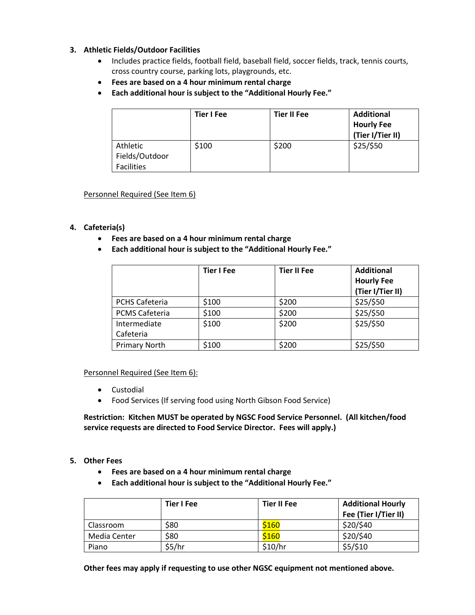## **3. Athletic Fields/Outdoor Facilities**

- Includes practice fields, football field, baseball field, soccer fields, track, tennis courts, cross country course, parking lots, playgrounds, etc.
- **Fees are based on a 4 hour minimum rental charge**
- **Each additional hour is subject to the "Additional Hourly Fee."**

|                            | <b>Tier I Fee</b> | <b>Tier II Fee</b> | <b>Additional</b><br><b>Hourly Fee</b><br>(Tier I/Tier II) |
|----------------------------|-------------------|--------------------|------------------------------------------------------------|
| Athletic<br>Fields/Outdoor | \$100             | \$200              | \$25/\$50                                                  |
| <b>Facilities</b>          |                   |                    |                                                            |

## Personnel Required (See Item 6)

## **4. Cafeteria(s)**

- **Fees are based on a 4 hour minimum rental charge**
- **Each additional hour is subject to the "Additional Hourly Fee."**

|                           | <b>Tier I Fee</b> | <b>Tier II Fee</b> | <b>Additional</b><br><b>Hourly Fee</b><br>(Tier I/Tier II) |
|---------------------------|-------------------|--------------------|------------------------------------------------------------|
| <b>PCHS Cafeteria</b>     | \$100             | \$200              | \$25/\$50                                                  |
| <b>PCMS Cafeteria</b>     | \$100             | \$200              | \$25/\$50                                                  |
| Intermediate<br>Cafeteria | \$100             | \$200              | \$25/\$50                                                  |
| Primary North             | \$100             | \$200              | \$25/\$50                                                  |

#### Personnel Required (See Item 6):

- Custodial
- Food Services (If serving food using North Gibson Food Service)

**Restriction: Kitchen MUST be operated by NGSC Food Service Personnel. (All kitchen/food service requests are directed to Food Service Director. Fees will apply.)**

#### **5. Other Fees**

- **Fees are based on a 4 hour minimum rental charge**
- **Each additional hour is subject to the "Additional Hourly Fee."**

|              | <b>Tier I Fee</b> | <b>Tier II Fee</b> | <b>Additional Hourly</b><br>Fee (Tier I/Tier II) |
|--------------|-------------------|--------------------|--------------------------------------------------|
| Classroom    | \$80              | \$160              | \$20/\$40                                        |
| Media Center | \$80              | \$160              | \$20/\$40                                        |
| Piano        | \$5/hr            | \$10/hr            | \$5/\$10                                         |

**Other fees may apply if requesting to use other NGSC equipment not mentioned above.**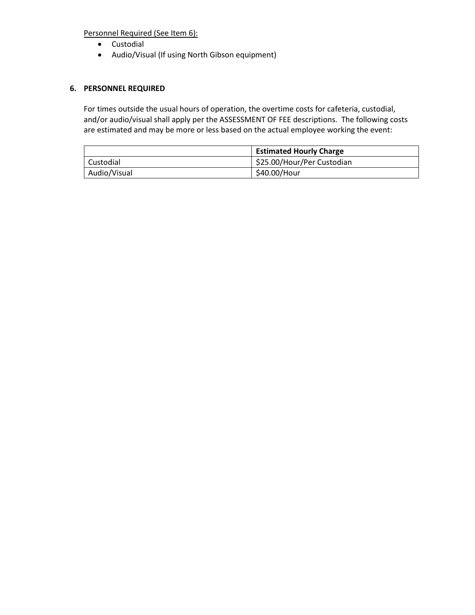Personnel Required (See Item 6):

- Custodial
- Audio/Visual (If using North Gibson equipment)

## **6. PERSONNEL REQUIRED**

For times outside the usual hours of operation, the overtime costs for cafeteria, custodial, and/or audio/visual shall apply per the ASSESSMENT OF FEE descriptions. The following costs are estimated and may be more or less based on the actual employee working the event:

|              | <b>Estimated Hourly Charge</b> |
|--------------|--------------------------------|
| Custodial    | \$25.00/Hour/Per Custodian     |
| Audio/Visual | \$40.00/Hour                   |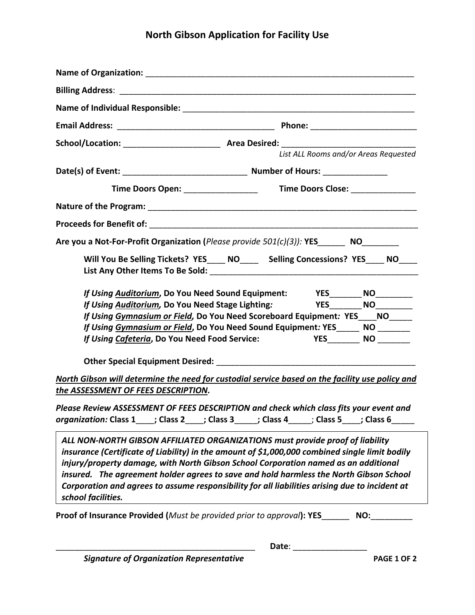# **North Gibson Application for Facility Use**

|                                                                                                                                                                                            | List ALL Rooms and/or Areas Requested                                                                                                                                                                                                                                                                                                              |
|--------------------------------------------------------------------------------------------------------------------------------------------------------------------------------------------|----------------------------------------------------------------------------------------------------------------------------------------------------------------------------------------------------------------------------------------------------------------------------------------------------------------------------------------------------|
|                                                                                                                                                                                            |                                                                                                                                                                                                                                                                                                                                                    |
|                                                                                                                                                                                            |                                                                                                                                                                                                                                                                                                                                                    |
|                                                                                                                                                                                            |                                                                                                                                                                                                                                                                                                                                                    |
|                                                                                                                                                                                            |                                                                                                                                                                                                                                                                                                                                                    |
| Are you a Not-For-Profit Organization (Please provide 501(c)(3)): YES________ NO________                                                                                                   |                                                                                                                                                                                                                                                                                                                                                    |
|                                                                                                                                                                                            | Will You Be Selling Tickets? YES____ NO_____ Selling Concessions? YES____ NO____                                                                                                                                                                                                                                                                   |
|                                                                                                                                                                                            |                                                                                                                                                                                                                                                                                                                                                    |
| If Using Auditorium, Do You Need Stage Lighting:                                                                                                                                           | If Using Auditorium, Do You Need Sound Equipment: YES________ NO_________<br><b>YES___________NO__________</b><br>If Using Gymnasium or Field, Do You Need Scoreboard Equipment: YES____NO______<br>If Using Gymnasium or Field, Do You Need Sound Equipment: YES______ NO ________<br>If Using Cafeteria, Do You Need Food Service: YES NO NO No. |
|                                                                                                                                                                                            | North Gibson will determine the need for custodial service based on the facility use policy and                                                                                                                                                                                                                                                    |
| the ASSESSMENT OF FEES DESCRIPTION.                                                                                                                                                        |                                                                                                                                                                                                                                                                                                                                                    |
| organization: Class 1____; Class 2____; Class 3_____; Class 4_____; Class 5____; Class 6__                                                                                                 | Please Review ASSESSMENT OF FEES DESCRIPTION and check which class fits your event and                                                                                                                                                                                                                                                             |
| ALL NON-NORTH GIBSON AFFILIATED ORGANIZATIONS must provide proof of liability<br>injury/property damage, with North Gibson School Corporation named as an additional<br>school facilities. | insurance (Certificate of Liability) in the amount of \$1,000,000 combined single limit bodily<br>insured. The agreement holder agrees to save and hold harmless the North Gibson School<br>Corporation and agrees to assume responsibility for all liabilities arising due to incident at                                                         |
| <b>Proof of Insurance Provided (</b> Must be provided prior to approval): YES                                                                                                              | NO:                                                                                                                                                                                                                                                                                                                                                |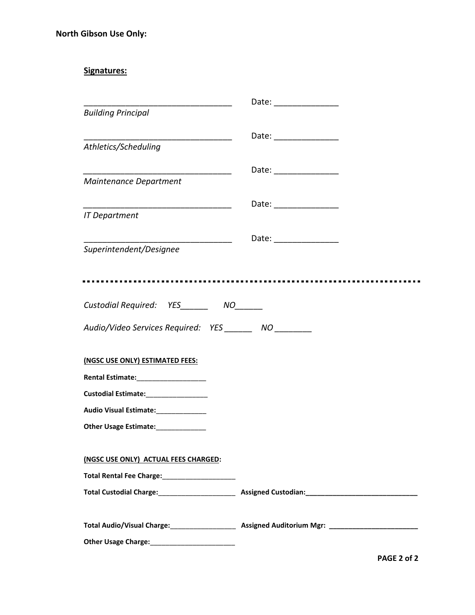## **Signatures:**

|                                                                         | Date: __________________ |
|-------------------------------------------------------------------------|--------------------------|
| <b>Building Principal</b>                                               |                          |
|                                                                         | Date: ______________     |
| Athletics/Scheduling                                                    |                          |
|                                                                         | Date: _________________  |
| Maintenance Department                                                  |                          |
|                                                                         | Date: _________________  |
| <b>IT Department</b>                                                    |                          |
| Superintendent/Designee                                                 | Date: _______________    |
|                                                                         |                          |
|                                                                         |                          |
|                                                                         |                          |
| Custodial Required: YES________ NO______                                |                          |
| Audio/Video Services Required: YES _______ NO _______                   |                          |
|                                                                         |                          |
| (NGSC USE ONLY) ESTIMATED FEES:<br>Rental Estimate:____________________ |                          |
|                                                                         |                          |
| Audio Visual Estimate: ______________                                   |                          |
| Other Usage Estimate:_____________                                      |                          |
|                                                                         |                          |
| (NGSC USE ONLY) ACTUAL FEES CHARGED:                                    |                          |
| Total Rental Fee Charge:<br><u> rental</u>                              |                          |
|                                                                         |                          |
|                                                                         |                          |
|                                                                         |                          |
|                                                                         |                          |